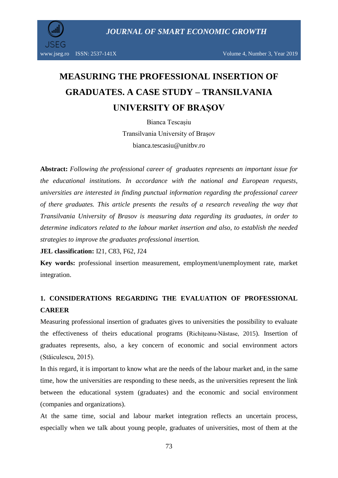*JOURNAL OF SMART ECONOMIC GROWTH*

# **MEASURING THE PROFESSIONAL INSERTION OF GRADUATES. A CASE STUDY – TRANSILVANIA UNIVERSITY OF BRAȘOV**

Bianca Tescașiu

Transilvania University of Brașov bianca.tescasiu@unitbv.ro

**Abstract:** *Following the professional career of graduates represents an important issue for the educational institutions. In accordance with the national and European requests, universities are interested in finding punctual information regarding the professional career of there graduates. This article presents the results of a research revealing the way that Transilvania University of Brasov is measuring data regarding its graduates, in order to determine indicators related to the labour market insertion and also, to establish the needed strategies to improve the graduates professional insertion.*

**JEL classification:** I21, C83, F62, J24

**Key words:** professional insertion measurement, employment/unemployment rate, market integration.

# **1. CONSIDERATIONS REGARDING THE EVALUATION OF PROFESSIONAL CAREER**

Measuring professional insertion of graduates gives to universities the possibility to evaluate the effectiveness of theirs educational programs ([Richițeanu-Năstase,](https://www.sciencedirect.com/science/article/pii/S1877042815015621) 2015). Insertion of graduates represents, also, a key concern of economic and social environment actors (Stăiculescu, 2015).

In this regard, it is important to know what are the needs of the labour market and, in the same time, how the universities are responding to these needs, as the universities represent the link between the educational system (graduates) and the economic and social environment (companies and organizations).

At the same time, social and labour market integration reflects an uncertain process, especially when we talk about young people, graduates of universities, most of them at the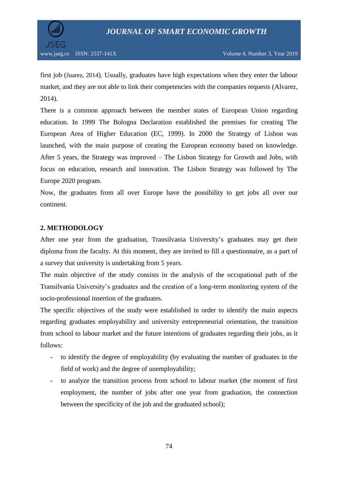

first job ([Juarez,](https://www.sciencedirect.com/science/article/pii/S1877042814046795) 2014). Usually, graduates have high expectations when they enter the labour market, and they are not able to link their competencies with the companies requests (Alvarez, 2014).

There is a common approach between the member states of European Union regarding education. In 1999 The Bologna Declaration established the premises for creating The European Area of Higher Education (EC, 1999). In 2000 the Strategy of Lisbon was launched, with the main purpose of creating the European economy based on knowledge. After 5 years, the Strategy was improved – The Lisbon Strategy for Growth and Jobs, with focus on education, research and innovation. The Lisbon Strategy was followed by The Europe 2020 program.

Now, the graduates from all over Europe have the possibility to get jobs all over our continent.

## **2. METHODOLOGY**

After one year from the graduation, Transilvania University's graduates may get their diploma from the faculty. At this moment, they are invited to fill a questionnaire, as a part of a survey that university is undertaking from 5 years.

The main objective of the study consists in the analysis of the occupational path of the Transilvania University's graduates and the creation of a long-term monitoring system of the socio-professional insertion of the graduates.

The specific objectives of the study were established in order to identify the main aspects regarding graduates employability and university entrepreneurial orientation, the transition from school to labour market and the future intentions of graduates regarding their jobs, as it follows:

- to identify the degree of employability (by evaluating the number of graduates in the field of work) and the degree of unemployability;
- to analyze the transition process from school to labour market (the moment of first employment, the number of jobs after one year from graduation, the connection between the specificity of the job and the graduated school);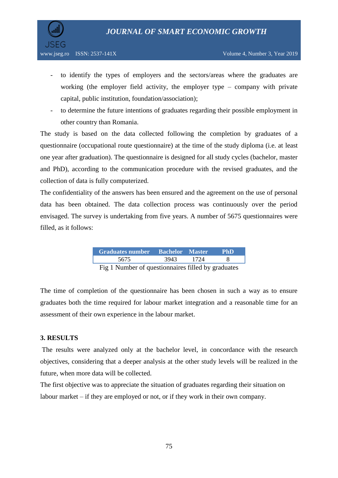

- to identify the types of employers and the sectors/areas where the graduates are working (the employer field activity, the employer type – company with private capital, public institution, foundation/association);
- to determine the future intentions of graduates regarding their possible employment in other country than Romania.

The study is based on the data collected following the completion by graduates of a questionnaire (occupational route questionnaire) at the time of the study diploma (i.e. at least one year after graduation). The questionnaire is designed for all study cycles (bachelor, master and PhD), according to the communication procedure with the revised graduates, and the collection of data is fully computerized.

The confidentiality of the answers has been ensured and the agreement on the use of personal data has been obtained. The data collection process was continuously over the period envisaged. The survey is undertaking from five years. A number of 5675 questionnaires were filled, as it follows:

| Graduates number Bachelor Master                        |      |        | <b>PhD</b> |  |
|---------------------------------------------------------|------|--------|------------|--|
| 5675                                                    | 3943 | - 1724 |            |  |
| $Fig. 1$ Number of questionneires $filled$ by graduates |      |        |            |  |

Fig 1 Number of questionnaires filled by graduates

The time of completion of the questionnaire has been chosen in such a way as to ensure graduates both the time required for labour market integration and a reasonable time for an assessment of their own experience in the labour market.

### **3. RESULTS**

The results were analyzed only at the bachelor level, in concordance with the research objectives, considering that a deeper analysis at the other study levels will be realized in the future, when more data will be collected.

The first objective was to appreciate the situation of graduates regarding their situation on labour market – if they are employed or not, or if they work in their own company.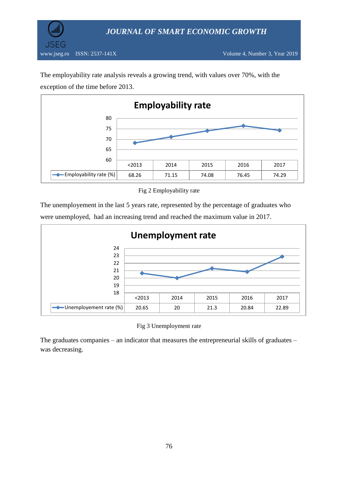

The employability rate analysis reveals a growing trend, with values over 70%, with the exception of the time before 2013.



Fig 2 Employability rate

The unemployement in the last 5 years rate, represented by the percentage of graduates who were unemployed, had an increasing trend and reached the maximum value in 2017.



Fig 3 Unemployment rate

The graduates companies – an indicator that measures the entrepreneurial skills of graduates – was decreasing.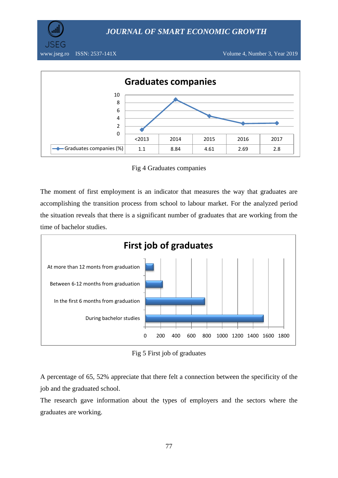*JOURNAL OF SMART ECONOMIC GROWTH*





Fig 4 Graduates companies

The moment of first employment is an indicator that measures the way that graduates are accomplishing the transition process from school to labour market. For the analyzed period the situation reveals that there is a significant number of graduates that are working from the time of bachelor studies.



Fig 5 First job of graduates

A percentage of 65, 52% appreciate that there felt a connection between the specificity of the job and the graduated school.

The research gave information about the types of employers and the sectors where the graduates are working.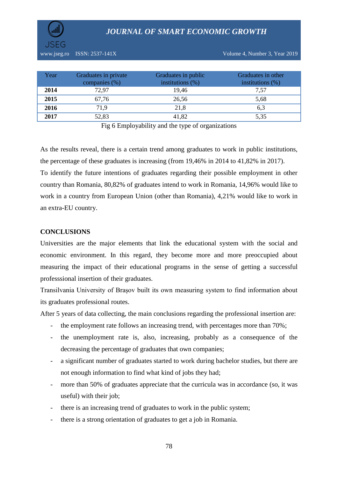*JOURNAL OF SMART ECONOMIC GROWTH*



| Year | Graduates in private<br>companies (%) | Graduates in public<br>institutions $(\%)$ | Graduates in other<br>institutions $(\%)$ |
|------|---------------------------------------|--------------------------------------------|-------------------------------------------|
| 2014 | 72,97                                 | 19,46                                      | 7,57                                      |
| 2015 | 67,76                                 | 26,56                                      | 5,68                                      |
| 2016 | 71,9                                  | 21,8                                       | 6,3                                       |
| 2017 | 52,83                                 | 41,82                                      | 5,35                                      |

Fig 6 Employability and the type of organizations

As the results reveal, there is a certain trend among graduates to work in public institutions, the percentage of these graduates is increasing (from 19,46% in 2014 to 41,82% in 2017). To identify the future intentions of graduates regarding their possible employment in other country than Romania, 80,82% of graduates intend to work in Romania, 14,96% would like to work in a country from European Union (other than Romania), 4,21% would like to work in an extra-EU country.

#### **CONCLUSIONS**

Universities are the major elements that link the educational system with the social and economic environment. In this regard, they become more and more preoccupied about measuring the impact of their educational programs in the sense of getting a successful professsional insertion of their graduates.

Transilvania University of Brașov built its own measuring system to find information about its graduates professional routes.

After 5 years of data collecting, the main conclusions regarding the professional insertion are:

- the employment rate follows an increasing trend, with percentages more than 70%;
- the unemployment rate is, also, increasing, probably as a consequence of the decreasing the percentage of graduates that own companies;
- a significant number of graduates started to work during bachelor studies, but there are not enough information to find what kind of jobs they had;
- more than 50% of graduates appreciate that the curricula was in accordance (so, it was useful) with their job;
- there is an increasing trend of graduates to work in the public system;
- there is a strong orientation of graduates to get a job in Romania.